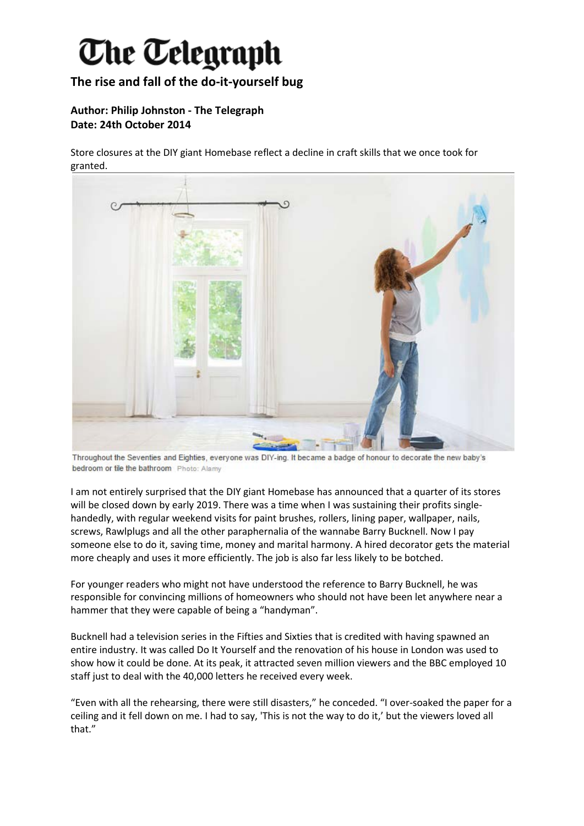#### **The rise and fall of the do-it-yourself bug**

#### **Author: Philip Johnston - The Telegraph Date: 24th October 2014**

Store closures at the DIY giant Homebase reflect a decline in craft skills that we once took for granted.



Throughout the Seventies and Eighties, everyone was DIY-ing. It became a badge of honour to decorate the new baby's bedroom or tile the bathroom Photo: Alamy

I am not entirely surprised that the DIY giant Homebase has announced that a quarter of its stores will be closed down by early 2019. There was a time when I was sustaining their profits singlehandedly, with regular weekend visits for paint brushes, rollers, lining paper, wallpaper, nails, screws, Rawlplugs and all the other paraphernalia of the wannabe Barry Bucknell. Now I pay someone else to do it, saving time, money and marital harmony. A hired decorator gets the material more cheaply and uses it more efficiently. The job is also far less likely to be botched.

For younger readers who might not have understood the reference to Barry Bucknell, he was responsible for convincing millions of homeowners who should not have been let anywhere near a hammer that they were capable of being a "handyman".

Bucknell had a television series in the Fifties and Sixties that is credited with having spawned an entire industry. It was called Do It Yourself and the renovation of his house in London was used to show how it could be done. At its peak, it attracted seven million viewers and the BBC employed 10 staff just to deal with the 40,000 letters he received every week.

"Even with all the rehearsing, there were still disasters," he conceded. "I over-soaked the paper for a ceiling and it fell down on me. I had to say, 'This is not the way to do it,' but the viewers loved all that."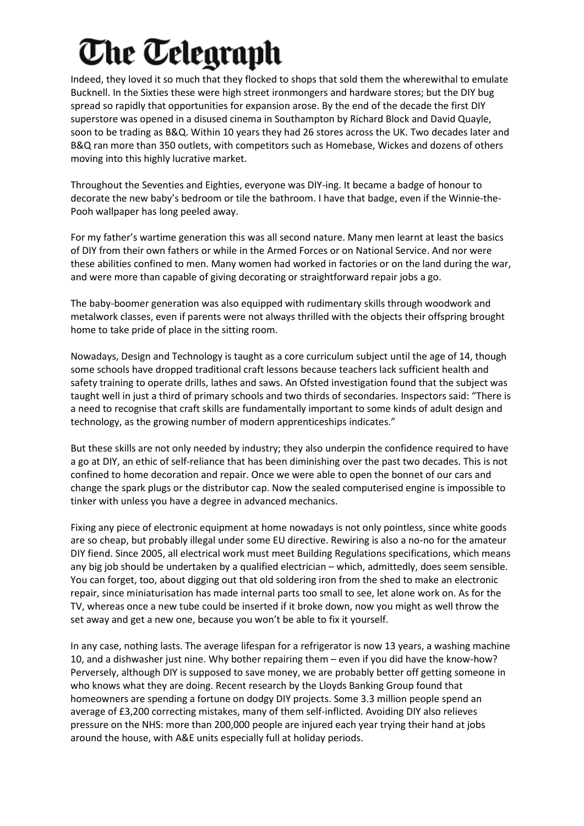Indeed, they loved it so much that they flocked to shops that sold them the wherewithal to emulate Bucknell. In the Sixties these were high street ironmongers and hardware stores; but the DIY bug spread so rapidly that opportunities for expansion arose. By the end of the decade the first DIY superstore was opened in a disused cinema in Southampton by Richard Block and David Quayle, soon to be trading as B&Q. Within 10 years they had 26 stores across the UK. Two decades later and B&Q ran more than 350 outlets, with competitors such as Homebase, Wickes and dozens of others moving into this highly lucrative market.

Throughout the Seventies and Eighties, everyone was DIY-ing. It became a badge of honour to decorate the new baby's bedroom or tile the bathroom. I have that badge, even if the Winnie-the-Pooh wallpaper has long peeled away.

For my father's wartime generation this was all second nature. Many men learnt at least the basics of DIY from their own fathers or while in the Armed Forces or on National Service. And nor were these abilities confined to men. Many women had worked in factories or on the land during the war, and were more than capable of giving decorating or straightforward repair jobs a go.

The baby-boomer generation was also equipped with rudimentary skills through woodwork and metalwork classes, even if parents were not always thrilled with the objects their offspring brought home to take pride of place in the sitting room.

Nowadays, Design and Technology is taught as a core curriculum subject until the age of 14, though some schools have dropped traditional craft lessons because teachers lack sufficient health and safety training to operate drills, lathes and saws. An Ofsted investigation found that the subject was taught well in just a third of primary schools and two thirds of secondaries. Inspectors said: "There is a need to recognise that craft skills are fundamentally important to some kinds of adult design and technology, as the growing number of modern apprenticeships indicates."

But these skills are not only needed by industry; they also underpin the confidence required to have a go at DIY, an ethic of self-reliance that has been diminishing over the past two decades. This is not confined to home decoration and repair. Once we were able to open the bonnet of our cars and change the spark plugs or the distributor cap. Now the sealed computerised engine is impossible to tinker with unless you have a degree in advanced mechanics.

Fixing any piece of electronic equipment at home nowadays is not only pointless, since white goods are so cheap, but probably illegal under some EU directive. Rewiring is also a no-no for the amateur DIY fiend. Since 2005, all electrical work must meet Building Regulations specifications, which means any big job should be undertaken by a qualified electrician – which, admittedly, does seem sensible. You can forget, too, about digging out that old soldering iron from the shed to make an electronic repair, since miniaturisation has made internal parts too small to see, let alone work on. As for the TV, whereas once a new tube could be inserted if it broke down, now you might as well throw the set away and get a new one, because you won't be able to fix it yourself.

In any case, nothing lasts. The average lifespan for a refrigerator is now 13 years, a washing machine 10, and a dishwasher just nine. Why bother repairing them – even if you did have the know-how? Perversely, although DIY is supposed to save money, we are probably better off getting someone in who knows what they are doing. Recent research by the Lloyds Banking Group found that homeowners are spending a fortune on dodgy DIY projects. Some 3.3 million people spend an average of £3,200 correcting mistakes, many of them self-inflicted. Avoiding DIY also relieves pressure on the NHS: more than 200,000 people are injured each year trying their hand at jobs around the house, with A&E units especially full at holiday periods.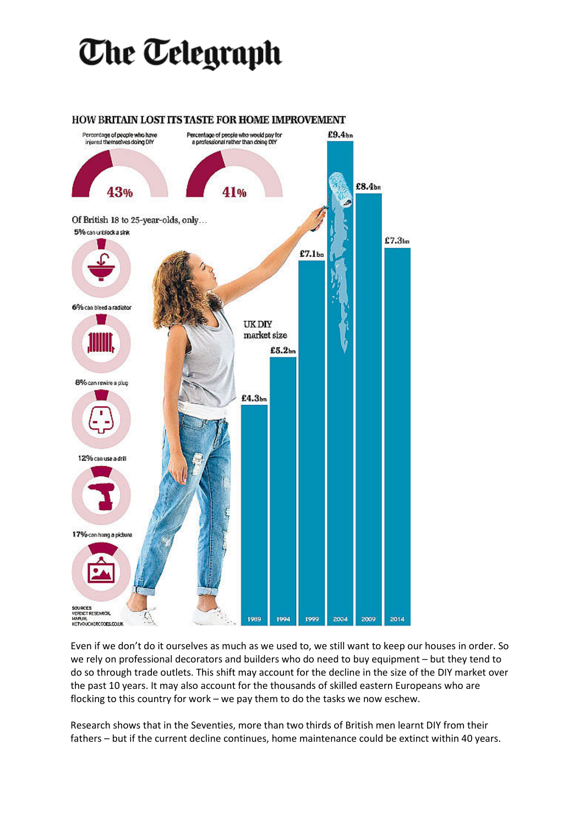

HOW BRITAIN LOST ITS TASTE FOR HOME IMPROVEMENT

Even if we don't do it ourselves as much as we used to, we still want to keep our houses in order. So we rely on professional decorators and builders who do need to buy equipment – but they tend to do so through trade outlets. This shift may account for the decline in the size of the DIY market over the past 10 years. It may also account for the thousands of skilled eastern Europeans who are flocking to this country for work – we pay them to do the tasks we now eschew.

Research shows that in the Seventies, more than two thirds of British men learnt DIY from their fathers – but if the current decline continues, home maintenance could be extinct within 40 years.